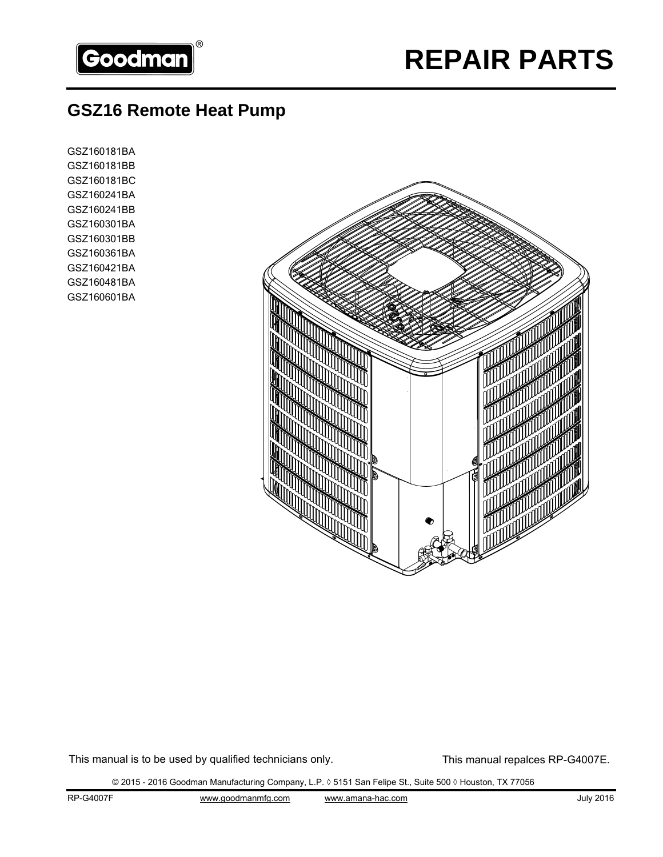

# **GSZ16 Remote Heat Pump**

GSZ160181BA GSZ160181BB GSZ160181BC GSZ160241BA GSZ160241BB GSZ160301BA GSZ160301BB GSZ160361BA GSZ160421BA GSZ160481BA GSZ160601BA



This manual is to be used by qualified technicians only. This manual repalces RP-G4007E.

© 2015 - 2016 Goodman Manufacturing Company, L.P. ◊ 5151 San Felipe St., Suite 500 ◊ Houston, TX 77056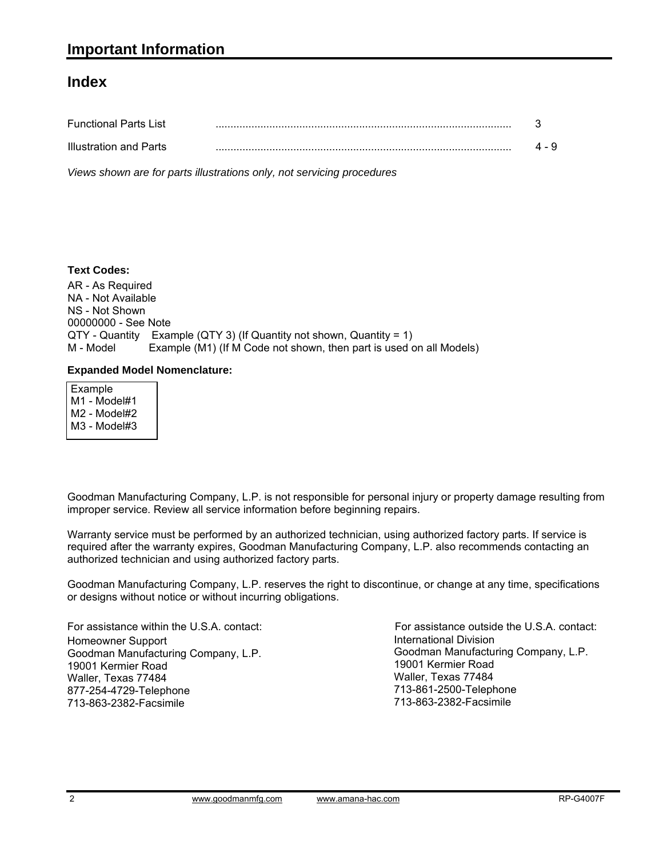## **Index**

| <b>Functional Parts List</b> |       |
|------------------------------|-------|
| Illustration and Parts       | 4 - 9 |

*Views shown are for parts illustrations only, not servicing procedures*

### **Text Codes:**

AR - As Required NA - Not Available NS - Not Shown 00000000 - See Note QTY - Quantity Example (QTY 3) (If Quantity not shown, Quantity = 1) M - Model Example (M1) (If M Code not shown, then part is used on all Models)

#### **Expanded Model Nomenclature:**

 Example M1 - Model#1 M2 - Model#2 M3 - Model#3

Goodman Manufacturing Company, L.P. is not responsible for personal injury or property damage resulting from improper service. Review all service information before beginning repairs.

Warranty service must be performed by an authorized technician, using authorized factory parts. If service is required after the warranty expires, Goodman Manufacturing Company, L.P. also recommends contacting an authorized technician and using authorized factory parts.

Goodman Manufacturing Company, L.P. reserves the right to discontinue, or change at any time, specifications or designs without notice or without incurring obligations.

For assistance within the U.S.A. contact: Homeowner Support Goodman Manufacturing Company, L.P. 19001 Kermier Road Waller, Texas 77484 877-254-4729-Telephone 713-863-2382-Facsimile

International Division International Division<br>Goodman Manufacturing Company, L.P. 19001 Kermier Road Waller, Texas 77484 713-861-2500-Telephone 713-863-2382-Facsimile For assistance outside the U.S.A. contact: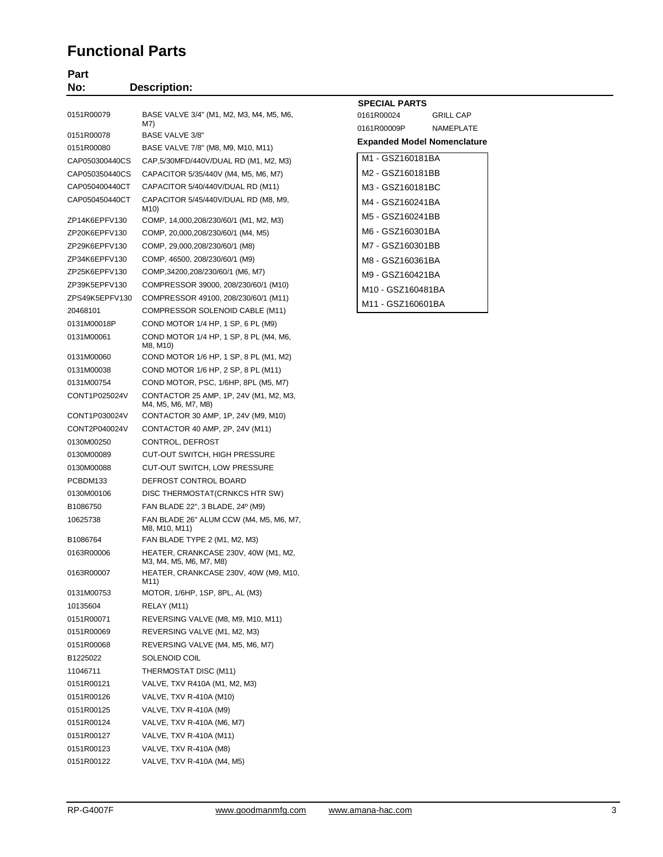## **Functional Parts**

PCBDM133 DEFROST CONTROL BOARD

M11) 0131M00753 MOTOR, 1/6HP, 1SP, 8PL, AL (M3)

11046711 THERMOSTAT DISC (M11) 0151R00121 VALVE, TXV R410A (M1, M2, M3) 0151R00126 VALVE, TXV R-410A (M10) 0151R00125 VALVE, TXV R-410A (M9) 0151R00124 VALVE, TXV R-410A (M6, M7) 0151R00127 VALVE, TXV R-410A (M11) 0151R00123 VALVE, TXV R-410A (M8) 0151R00122 VALVE, TXV R-410A (M4, M5)

10135604 RELAY (M11)

B1225022 SOLENOID COIL

0130M00106 DISC THERMOSTAT(CRNKCS HTR SW) B1086750 FAN BLADE 22", 3 BLADE, 24º (M9)

10625738 FAN BLADE 26" ALUM CCW (M4, M5, M6, M7, M8, M10, M11) B1086764 FAN BLADE TYPE 2 (M1, M2, M3)

0163R00006 HEATER, CRANKCASE 230V, 40W (M1, M2, M3, M4, M5, M6, M7, M8) 0163R00007 HEATER, CRANKCASE 230V, 40W (M9, M10,

0151R00071 REVERSING VALVE (M8, M9, M10, M11) 0151R00069 REVERSING VALVE (M1, M2, M3) 0151R00068 REVERSING VALVE (M4, M5, M6, M7)

| Part |  |
|------|--|
| הוא  |  |

| ı aı u         |                                                               |                                    |                  |
|----------------|---------------------------------------------------------------|------------------------------------|------------------|
| No:            | <b>Description:</b>                                           |                                    |                  |
|                |                                                               | <b>SPECIAL PARTS</b>               |                  |
| 0151R00079     | BASE VALVE 3/4" (M1, M2, M3, M4, M5, M6,                      | 0161R00024                         | <b>GRILL CAP</b> |
| 0151R00078     | M7)<br><b>BASE VALVE 3/8"</b>                                 | 0161R00009P                        | NAMEPLATE        |
| 0151R00080     | BASE VALVE 7/8" (M8, M9, M10, M11)                            | <b>Expanded Model Nomenclature</b> |                  |
| CAP050300440CS | CAP, 5/30MFD/440V/DUAL RD (M1, M2, M3)                        | M1 - GSZ160181BA                   |                  |
| CAP050350440CS | CAPACITOR 5/35/440V (M4, M5, M6, M7)                          | M2 - GSZ160181BB                   |                  |
| CAP050400440CT | CAPACITOR 5/40/440V/DUAL RD (M11)                             |                                    |                  |
|                |                                                               | M3 - GSZ160181BC                   |                  |
| CAP050450440CT | CAPACITOR 5/45/440V/DUAL RD (M8, M9,<br>M <sub>10</sub> )     | M4 - GSZ160241BA                   |                  |
| ZP14K6EPFV130  | COMP, 14,000,208/230/60/1 (M1, M2, M3)                        | M5 - GSZ160241BB                   |                  |
| ZP20K6EPFV130  | COMP, 20,000,208/230/60/1 (M4, M5)                            | M6 - GSZ160301BA                   |                  |
| ZP29K6EPFV130  | COMP, 29,000,208/230/60/1 (M8)                                | M7 - GSZ160301BB                   |                  |
| ZP34K6EPFV130  | COMP, 46500, 208/230/60/1 (M9)                                | M8 - GSZ160361BA                   |                  |
| ZP25K6EPFV130  | COMP,34200,208/230/60/1 (M6, M7)                              | M9 - GSZ160421BA                   |                  |
| ZP39K5EPFV130  | COMPRESSOR 39000, 208/230/60/1 (M10)                          | M10 - GSZ160481BA                  |                  |
| ZPS49K5EPFV130 | COMPRESSOR 49100, 208/230/60/1 (M11)                          |                                    |                  |
| 20468101       | COMPRESSOR SOLENOID CABLE (M11)                               | M11 - GSZ160601BA                  |                  |
| 0131M00018P    | COND MOTOR 1/4 HP, 1 SP, 6 PL (M9)                            |                                    |                  |
| 0131M00061     | COND MOTOR 1/4 HP, 1 SP, 8 PL (M4, M6,<br>M8, M10)            |                                    |                  |
| 0131M00060     | COND MOTOR 1/6 HP, 1 SP, 8 PL (M1, M2)                        |                                    |                  |
| 0131M00038     | COND MOTOR 1/6 HP, 2 SP, 8 PL (M11)                           |                                    |                  |
| 0131M00754     | COND MOTOR, PSC, 1/6HP, 8PL (M5, M7)                          |                                    |                  |
| CONT1P025024V  | CONTACTOR 25 AMP, 1P, 24V (M1, M2, M3,<br>M4, M5, M6, M7, M8) |                                    |                  |
| CONT1P030024V  | CONTACTOR 30 AMP, 1P, 24V (M9, M10)                           |                                    |                  |
| CONT2P040024V  | CONTACTOR 40 AMP, 2P, 24V (M11)                               |                                    |                  |
| 0130M00250     | CONTROL, DEFROST                                              |                                    |                  |
| 0130M00089     | <b>CUT-OUT SWITCH, HIGH PRESSURE</b>                          |                                    |                  |
| 0130M00088     | CUT-OUT SWITCH, LOW PRESSURE                                  |                                    |                  |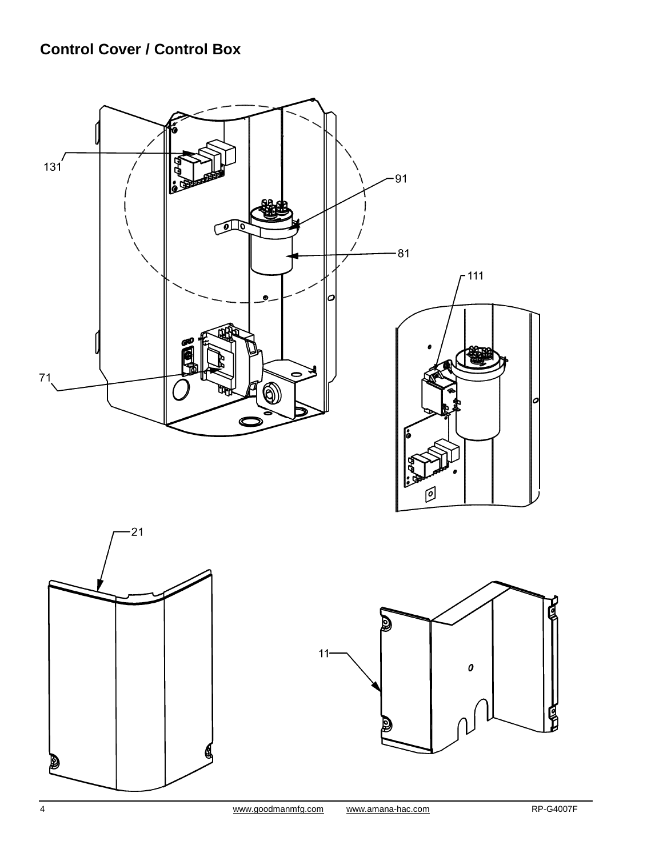# **Control Cover / Control Box**







4 www.goodmanmfg.com www.amana-hac.com RP-G4007F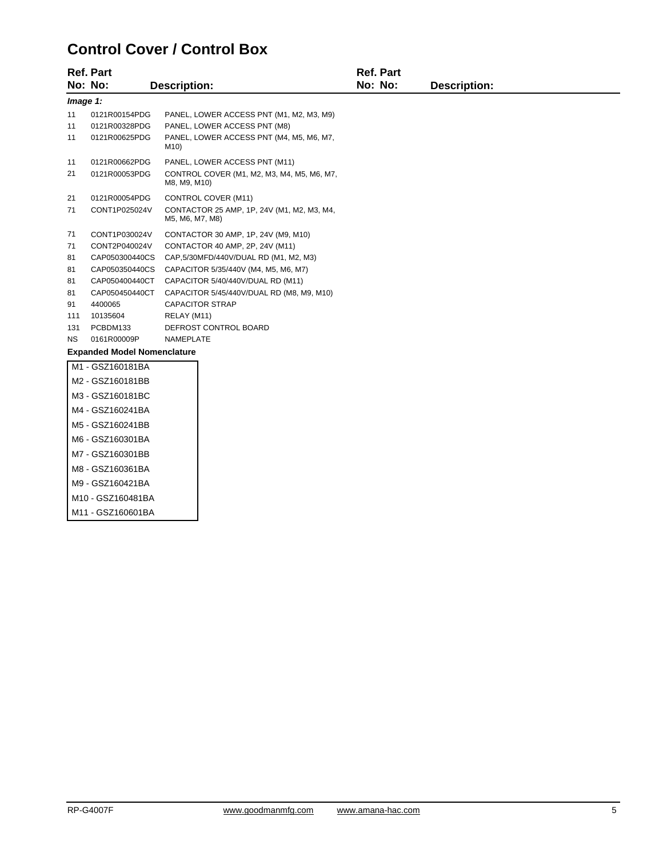## **Control Cover / Control Box**

|           | <b>Ref. Part</b>                   |                                                                          | <b>Ref. Part</b> |              |  |
|-----------|------------------------------------|--------------------------------------------------------------------------|------------------|--------------|--|
|           | No: No:                            | Description:                                                             | No: No:          | Description: |  |
| Image 1:  |                                    |                                                                          |                  |              |  |
| 11<br>11  | 0121R00154PDG<br>0121R00328PDG     | PANEL, LOWER ACCESS PNT (M1, M2, M3, M9)<br>PANEL, LOWER ACCESS PNT (M8) |                  |              |  |
| 11        | 0121R00625PDG                      | PANEL, LOWER ACCESS PNT (M4, M5, M6, M7,<br>M10)                         |                  |              |  |
| 11        | 0121R00662PDG                      | PANEL, LOWER ACCESS PNT (M11)                                            |                  |              |  |
| 21        | 0121R00053PDG                      | CONTROL COVER (M1, M2, M3, M4, M5, M6, M7,<br>M8, M9, M10)               |                  |              |  |
| 21        | 0121R00054PDG                      | CONTROL COVER (M11)                                                      |                  |              |  |
| 71        | CONT1P025024V                      | CONTACTOR 25 AMP, 1P, 24V (M1, M2, M3, M4,<br>M5, M6, M7, M8)            |                  |              |  |
| 71        | CONT1P030024V                      | CONTACTOR 30 AMP, 1P, 24V (M9, M10)                                      |                  |              |  |
| 71        | CONT2P040024V                      | CONTACTOR 40 AMP, 2P, 24V (M11)                                          |                  |              |  |
| 81        | CAP050300440CS                     | CAP, 5/30MFD/440V/DUAL RD (M1, M2, M3)                                   |                  |              |  |
| 81        | CAP050350440CS                     | CAPACITOR 5/35/440V (M4, M5, M6, M7)                                     |                  |              |  |
| 81        | CAP050400440CT                     | CAPACITOR 5/40/440V/DUAL RD (M11)                                        |                  |              |  |
| 81        | CAP050450440CT                     | CAPACITOR 5/45/440V/DUAL RD (M8, M9, M10)                                |                  |              |  |
| 91        | 4400065                            | <b>CAPACITOR STRAP</b>                                                   |                  |              |  |
| 111       | 10135604                           | RELAY (M11)                                                              |                  |              |  |
| 131       | PCBDM133                           | DEFROST CONTROL BOARD                                                    |                  |              |  |
| <b>NS</b> | 0161R00009P                        | NAMEPLATE                                                                |                  |              |  |
|           | <b>Expanded Model Nomenclature</b> |                                                                          |                  |              |  |
|           | M1 - GSZ160181BA                   |                                                                          |                  |              |  |
|           | M2 - GSZ160181BB                   |                                                                          |                  |              |  |
|           | M3 - GSZ160181BC                   |                                                                          |                  |              |  |
|           | M4 - GSZ160241BA                   |                                                                          |                  |              |  |
|           | M5 - GSZ160241BB                   |                                                                          |                  |              |  |
|           | M6 - GSZ160301BA                   |                                                                          |                  |              |  |

- M7 GSZ160301BB M8 - GSZ160361BA
- M9 GSZ160421BA M10 - GSZ160481BA
- M11 GSZ160601BA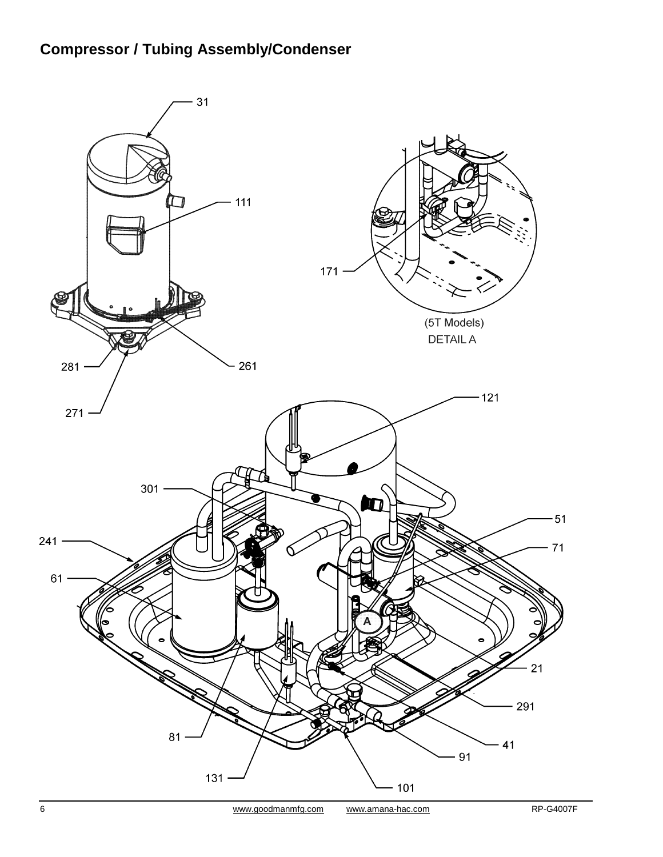# **Compressor / Tubing Assembly/Condenser**

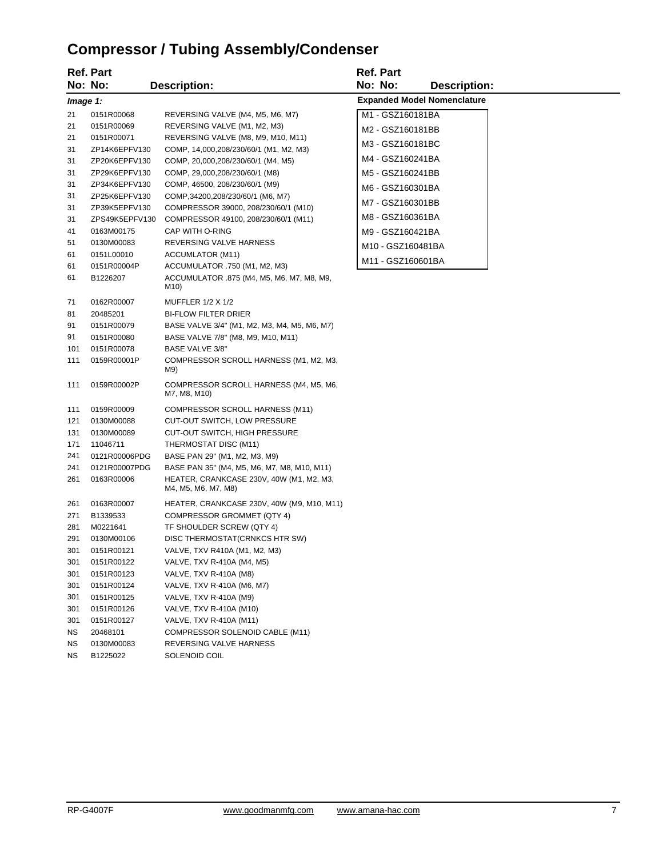# **Compressor / Tubing Assembly/Condenser**

**No: Description:**

|          | Ref. Part      |                                                                 | <b>Ref. Part</b>                   |                    |
|----------|----------------|-----------------------------------------------------------------|------------------------------------|--------------------|
|          | No: No:        | <b>Description:</b>                                             | No: No:                            | <b>Descriptior</b> |
| Image 1: |                |                                                                 | <b>Expanded Model Nomenclature</b> |                    |
| 21       | 0151R00068     | REVERSING VALVE (M4, M5, M6, M7)                                | M1 - GSZ160181BA                   |                    |
| 21       | 0151R00069     | REVERSING VALVE (M1, M2, M3)                                    | M2 - GSZ160181BB                   |                    |
| 21       | 0151R00071     | REVERSING VALVE (M8, M9, M10, M11)                              |                                    |                    |
| 31       | ZP14K6EPFV130  | COMP, 14,000,208/230/60/1 (M1, M2, M3)                          | M3 - GSZ160181BC                   |                    |
| 31       | ZP20K6EPFV130  | COMP, 20,000,208/230/60/1 (M4, M5)                              | M4 - GSZ160241BA                   |                    |
| 31       | ZP29K6EPFV130  | COMP, 29,000,208/230/60/1 (M8)                                  | M5 - GSZ160241BB                   |                    |
| 31       | ZP34K6EPFV130  | COMP, 46500, 208/230/60/1 (M9)                                  | M6 - GSZ160301BA                   |                    |
| 31       | ZP25K6EPFV130  | COMP, 34200, 208/230/60/1 (M6, M7)                              | M7 - GSZ160301BB                   |                    |
| 31       | ZP39K5EPFV130  | COMPRESSOR 39000, 208/230/60/1 (M10)                            |                                    |                    |
| 31       | ZPS49K5EPFV130 | COMPRESSOR 49100, 208/230/60/1 (M11)                            | M8 - GSZ160361BA                   |                    |
| 41       | 0163M00175     | CAP WITH O-RING                                                 | M9 - GSZ160421BA                   |                    |
| 51       | 0130M00083     | REVERSING VALVE HARNESS                                         | M10 - GSZ160481BA                  |                    |
| 61       | 0151L00010     | ACCUMLATOR (M11)                                                | M11 - GSZ160601BA                  |                    |
| 61       | 0151R00004P    | ACCUMULATOR .750 (M1, M2, M3)                                   |                                    |                    |
| 61       | B1226207       | ACCUMULATOR .875 (M4, M5, M6, M7, M8, M9,<br>M10)               |                                    |                    |
| 71       | 0162R00007     | MUFFLER $1/2$ X $1/2$                                           |                                    |                    |
| 81       | 20485201       | <b>BI-FLOW FILTER DRIER</b>                                     |                                    |                    |
| 91       | 0151R00079     | BASE VALVE 3/4" (M1, M2, M3, M4, M5, M6, M7)                    |                                    |                    |
| 91       | 0151R00080     | BASE VALVE 7/8" (M8, M9, M10, M11)                              |                                    |                    |
| 101      | 0151R00078     | BASE VALVE 3/8"                                                 |                                    |                    |
| 111      | 0159R00001P    | COMPRESSOR SCROLL HARNESS (M1, M2, M3,<br>M9)                   |                                    |                    |
| 111      | 0159R00002P    | COMPRESSOR SCROLL HARNESS (M4, M5, M6,<br>M7, M8, M10)          |                                    |                    |
| 111      | 0159R00009     | COMPRESSOR SCROLL HARNESS (M11)                                 |                                    |                    |
| 121      | 0130M00088     | CUT-OUT SWITCH, LOW PRESSURE                                    |                                    |                    |
| 131      | 0130M00089     | <b>CUT-OUT SWITCH, HIGH PRESSURE</b>                            |                                    |                    |
| 171      | 11046711       | THERMOSTAT DISC (M11)                                           |                                    |                    |
| 241      | 0121R00006PDG  | BASE PAN 29" (M1, M2, M3, M9)                                   |                                    |                    |
| 241      | 0121R00007PDG  | BASE PAN 35" (M4, M5, M6, M7, M8, M10, M11)                     |                                    |                    |
| 261      | 0163R00006     | HEATER, CRANKCASE 230V, 40W (M1, M2, M3,<br>M4, M5, M6, M7, M8) |                                    |                    |
| 261      | 0163R00007     | HEATER, CRANKCASE 230V, 40W (M9, M10, M11)                      |                                    |                    |
| 271      | B1339533       | COMPRESSOR GROMMET (QTY 4)                                      |                                    |                    |
| 281      | M0221641       | TF SHOULDER SCREW (QTY 4)                                       |                                    |                    |
| 291      | 0130M00106     | DISC THERMOSTAT (CRNKCS HTR SW)                                 |                                    |                    |
| 301      | 0151R00121     | VALVE, TXV R410A (M1, M2, M3)                                   |                                    |                    |
| 301      | 0151R00122     | VALVE, TXV R-410A (M4, M5)                                      |                                    |                    |
| 301      | 0151R00123     | VALVE, TXV R-410A (M8)                                          |                                    |                    |
| 301      | 0151R00124     | VALVE, TXV R-410A (M6, M7)                                      |                                    |                    |
| 301      | 0151R00125     | VALVE, TXV R-410A (M9)                                          |                                    |                    |
| 301      | 0151R00126     | VALVE, TXV R-410A (M10)                                         |                                    |                    |
| 301      | 0151R00127     | VALVE, TXV R-410A (M11)                                         |                                    |                    |
| ΝS       | 20468101       | COMPRESSOR SOLENOID CABLE (M11)                                 |                                    |                    |
| ΝS       | 0130M00083     | REVERSING VALVE HARNESS                                         |                                    |                    |
| ΝS       | B1225022       | SOLENOID COIL                                                   |                                    |                    |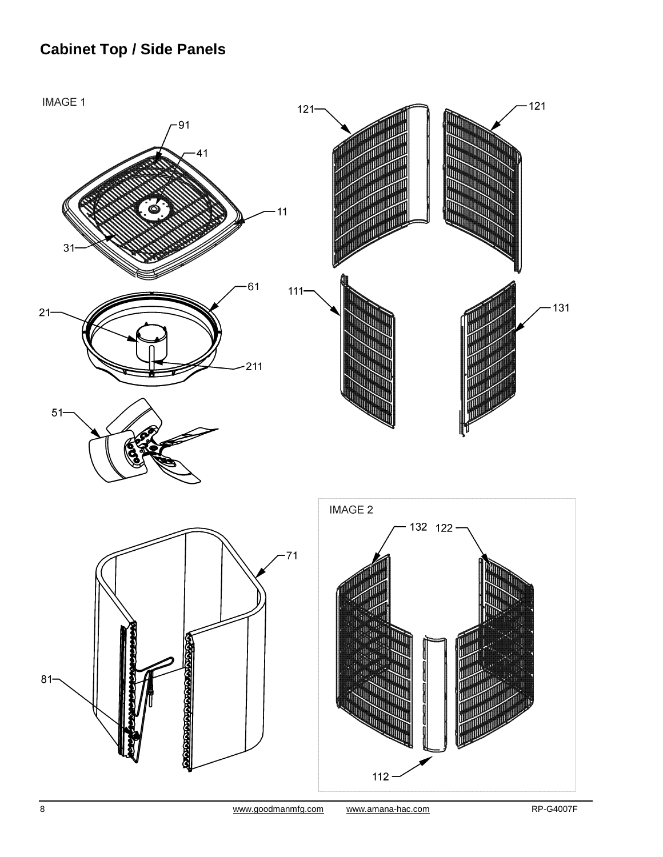# **Cabinet Top / Side Panels**